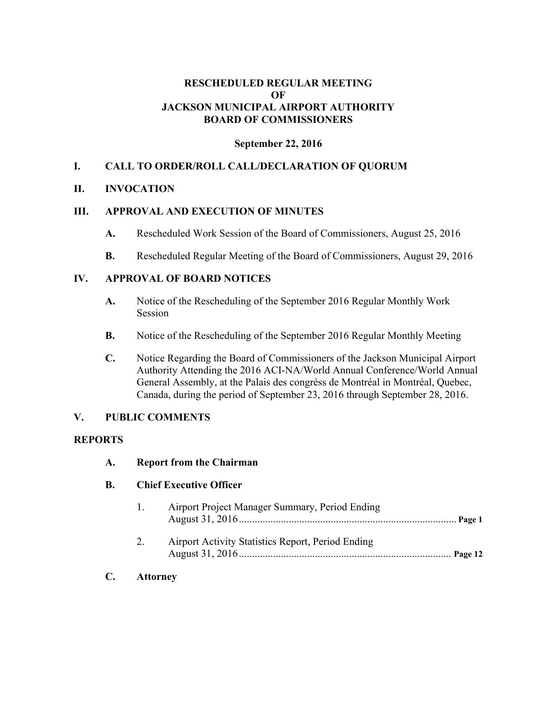# **RESCHEDULED REGULAR MEETING OF JACKSON MUNICIPAL AIRPORT AUTHORITY BOARD OF COMMISSIONERS**

# **September 22, 2016**

# **I. CALL TO ORDER/ROLL CALL/DECLARATION OF QUORUM**

## **II. INVOCATION**

# **III. APPROVAL AND EXECUTION OF MINUTES**

- **A.** Rescheduled Work Session of the Board of Commissioners, August 25, 2016
- **B.** Rescheduled Regular Meeting of the Board of Commissioners, August 29, 2016

## **IV. APPROVAL OF BOARD NOTICES**

- **A.** Notice of the Rescheduling of the September 2016 Regular Monthly Work Session
- **B.** Notice of the Rescheduling of the September 2016 Regular Monthly Meeting
- **C.** Notice Regarding the Board of Commissioners of the Jackson Municipal Airport Authority Attending the 2016 ACI-NA/World Annual Conference/World Annual General Assembly, at the Palais des congréss de Montréal in Montréal, Quebec, Canada, during the period of September 23, 2016 through September 28, 2016.

# **V. PUBLIC COMMENTS**

# **REPORTS**

#### **A. Report from the Chairman**

#### **B. Chief Executive Officer**

| $\mathbf{1}$ | Airport Project Manager Summary, Period Ending    |  |
|--------------|---------------------------------------------------|--|
|              | Airport Activity Statistics Report, Period Ending |  |

**C. Attorney**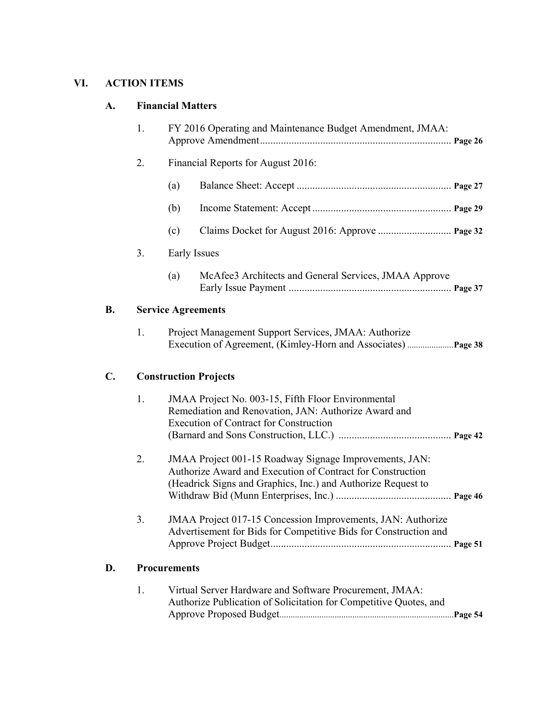# **VI. ACTION ITEMS**

# **A. Financial Matters**

|                | 1. | FY 2016 Operating and Maintenance Budget Amendment, JMAA:                                                                                                                            |
|----------------|----|--------------------------------------------------------------------------------------------------------------------------------------------------------------------------------------|
|                | 2. | Financial Reports for August 2016:                                                                                                                                                   |
|                |    | (a)                                                                                                                                                                                  |
|                |    | (b)                                                                                                                                                                                  |
|                |    | (c)                                                                                                                                                                                  |
|                | 3. | Early Issues                                                                                                                                                                         |
|                |    | McAfee3 Architects and General Services, JMAA Approve<br>(a)                                                                                                                         |
| <b>B.</b>      |    | <b>Service Agreements</b>                                                                                                                                                            |
|                | 1. | Project Management Support Services, JMAA: Authorize                                                                                                                                 |
| $\mathbf{C}$ . |    | <b>Construction Projects</b>                                                                                                                                                         |
|                | 1. | JMAA Project No. 003-15, Fifth Floor Environmental<br>Remediation and Renovation, JAN: Authorize Award and<br><b>Execution of Contract for Construction</b>                          |
|                | 2. | JMAA Project 001-15 Roadway Signage Improvements, JAN:<br>Authorize Award and Execution of Contract for Construction<br>(Headrick Signs and Graphics, Inc.) and Authorize Request to |
|                | 3. | JMAA Project 017-15 Concession Improvements, JAN: Authorize<br>Advertisement for Bids for Competitive Bids for Construction and                                                      |
| D.             |    | <b>Procurements</b>                                                                                                                                                                  |
|                | 1. | Virtual Server Hardware and Software Procurement, JMAA:<br>Authorize Publication of Solicitation for Competitive Quotes, and                                                         |